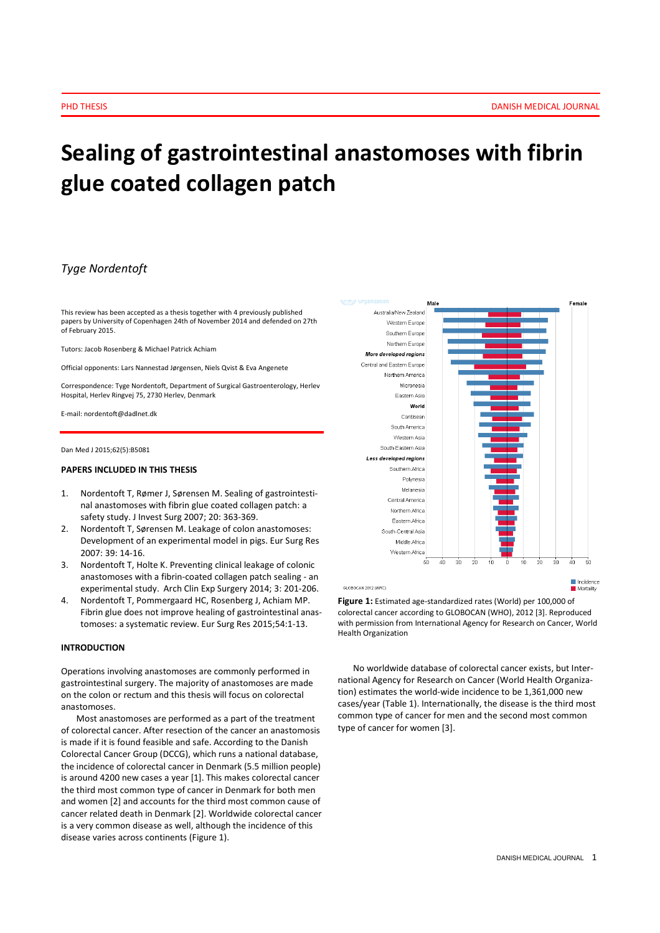# Sealing of gastrointestinal anastomoses with fibrin glue coated collagen patch

# Tyge Nordentoft

This review has been accepted as a thesis together with 4 previously published papers by University of Copenhagen 24th of November 2014 and defended on 27th of February 2015.

Tutors: Jacob Rosenberg & Michael Patrick Achiam

Official opponents: Lars Nannestad Jørgensen, Niels Qvist & Eva Angenete

Correspondence: Tyge Nordentoft, Department of Surgical Gastroenterology, Herlev Hospital, Herlev Ringvej 75, 2730 Herlev, Denmark

E-mail: nordentoft@dadlnet.dk

Dan Med J 2015;62(5):B5081

# PAPERS INCLUDED IN THIS THESIS

- 1. Nordentoft T, Rømer J, Sørensen M. Sealing of gastrointestinal anastomoses with fibrin glue coated collagen patch: a safety study. J Invest Surg 2007; 20: 363-369.
- 2. Nordentoft T, Sørensen M. Leakage of colon anastomoses: Development of an experimental model in pigs. Eur Surg Res 2007: 39: 14-16.
- 3. Nordentoft T, Holte K. Preventing clinical leakage of colonic anastomoses with a fibrin-coated collagen patch sealing - an experimental study. Arch Clin Exp Surgery 2014; 3: 201-206.
- 4. Nordentoft T, Pommergaard HC, Rosenberg J, Achiam MP. Fibrin glue does not improve healing of gastrointestinal anastomoses: a systematic review. Eur Surg Res 2015;54:1-13.

# INTRODUCTION

Operations involving anastomoses are commonly performed in gastrointestinal surgery. The majority of anastomoses are made on the colon or rectum and this thesis will focus on colorectal anastomoses.

Most anastomoses are performed as a part of the treatment of colorectal cancer. After resection of the cancer an anastomosis is made if it is found feasible and safe. According to the Danish Colorectal Cancer Group (DCCG), which runs a national database, the incidence of colorectal cancer in Denmark (5.5 million people) is around 4200 new cases a year [1]. This makes colorectal cancer the third most common type of cancer in Denmark for both men and women [2] and accounts for the third most common cause of cancer related death in Denmark [2]. Worldwide colorectal cancer is a very common disease as well, although the incidence of this disease varies across continents (Figure 1).



Figure 1: Estimated age-standardized rates (World) per 100,000 of colorectal cancer according to GLOBOCAN (WHO), 2012 [3]. Reproduced with permission from International Agency for Research on Cancer, World Health Organization

No worldwide database of colorectal cancer exists, but International Agency for Research on Cancer (World Health Organization) estimates the world-wide incidence to be 1,361,000 new cases/year (Table 1). Internationally, the disease is the third most common type of cancer for men and the second most common type of cancer for women [3].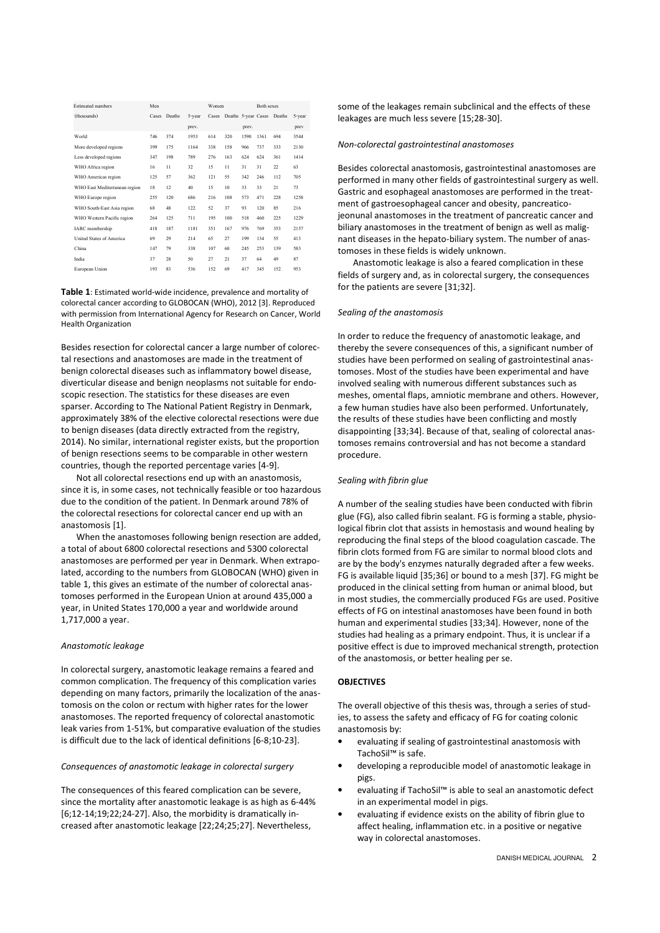| <b>Estimated</b> numbers      | Men   |        |        | Women |                     |       | <b>Both sexes</b> |        |        |
|-------------------------------|-------|--------|--------|-------|---------------------|-------|-------------------|--------|--------|
| (thousands)                   | Cases | Deaths | 5-year | Cases | Deaths 5-year Cases |       |                   | Deaths | 5-year |
|                               |       |        | prev.  |       |                     | prev. |                   |        | prev   |
| World                         | 746   | 374    | 1953   | 614   | 320                 | 1590  | 1361              | 694    | 3544   |
| More developed regions        | 399   | 175    | 1164   | 338   | 158                 | 966   | 737               | 333    | 2130   |
| Less developed regions        | 347   | 198    | 789    | 276   | 163                 | 624   | 624               | 361    | 1414   |
| WHO Africa region             | 16    | 11     | 32     | 15    | 11                  | 31    | 31                | 22     | 63     |
| WHO Americas region           | 125   | 57     | 362    | 121   | 55                  | 342   | 246               | 112    | 705    |
| WHO East Mediterranean region | 18    | 12     | 40     | 15    | 10                  | 33    | 33                | 21     | 73     |
| WHO Europe region             | 255   | 120    | 686    | 216   | 108                 | 573   | 471               | 228    | 1258   |
| WHO South-East Asia region    | 68    | 48     | 122    | 52    | 37                  | 93    | 120               | 85     | 216    |
| WHO Western Pacific region    | 264   | 125    | 711    | 195   | 100                 | 518   | 460               | 225    | 1229   |
| IARC membership               | 418   | 187    | 1181   | 351   | 167                 | 976   | 769               | 353    | 2157   |
| United States of America      | 69    | 29     | 214    | 65    | 27                  | 199   | 134               | 55     | 413    |
| China                         | 147   | 79     | 338    | 107   | 60                  | 245   | 253               | 139    | 583    |
| India                         | 37    | 28     | 50     | 27    | 21                  | 37    | 64                | 49     | 87     |
| European Union                | 193   | 83     | 536    | 152   | 69                  | 417   | 345               | 152    | 953    |

Table 1: Estimated world-wide incidence, prevalence and mortality of colorectal cancer according to GLOBOCAN (WHO), 2012 [3]. Reproduced with permission from International Agency for Research on Cancer, World Health Organization

Besides resection for colorectal cancer a large number of colorectal resections and anastomoses are made in the treatment of benign colorectal diseases such as inflammatory bowel disease, diverticular disease and benign neoplasms not suitable for endoscopic resection. The statistics for these diseases are even sparser. According to The National Patient Registry in Denmark, approximately 38% of the elective colorectal resections were due to benign diseases (data directly extracted from the registry, 2014). No similar, international register exists, but the proportion of benign resections seems to be comparable in other western countries, though the reported percentage varies [4-9].

Not all colorectal resections end up with an anastomosis, since it is, in some cases, not technically feasible or too hazardous due to the condition of the patient. In Denmark around 78% of the colorectal resections for colorectal cancer end up with an anastomosis [1].

When the anastomoses following benign resection are added, a total of about 6800 colorectal resections and 5300 colorectal anastomoses are performed per year in Denmark. When extrapolated, according to the numbers from GLOBOCAN (WHO) given in table 1, this gives an estimate of the number of colorectal anastomoses performed in the European Union at around 435,000 a year, in United States 170,000 a year and worldwide around 1,717,000 a year.

#### Anastomotic leakage

In colorectal surgery, anastomotic leakage remains a feared and common complication. The frequency of this complication varies depending on many factors, primarily the localization of the anastomosis on the colon or rectum with higher rates for the lower anastomoses. The reported frequency of colorectal anastomotic leak varies from 1-51%, but comparative evaluation of the studies is difficult due to the lack of identical definitions [6-8;10-23].

#### Consequences of anastomotic leakage in colorectal surgery

The consequences of this feared complication can be severe, since the mortality after anastomotic leakage is as high as 6-44% [6;12-14;19;22;24-27]. Also, the morbidity is dramatically increased after anastomotic leakage [22;24;25;27]. Nevertheless,

some of the leakages remain subclinical and the effects of these leakages are much less severe [15;28-30].

#### Non-colorectal gastrointestinal anastomoses

Besides colorectal anastomosis, gastrointestinal anastomoses are performed in many other fields of gastrointestinal surgery as well. Gastric and esophageal anastomoses are performed in the treatment of gastroesophageal cancer and obesity, pancreaticojeonunal anastomoses in the treatment of pancreatic cancer and biliary anastomoses in the treatment of benign as well as malignant diseases in the hepato-biliary system. The number of anastomoses in these fields is widely unknown.

Anastomotic leakage is also a feared complication in these fields of surgery and, as in colorectal surgery, the consequences for the patients are severe [31;32].

# Sealing of the anastomosis

In order to reduce the frequency of anastomotic leakage, and thereby the severe consequences of this, a significant number of studies have been performed on sealing of gastrointestinal anastomoses. Most of the studies have been experimental and have involved sealing with numerous different substances such as meshes, omental flaps, amniotic membrane and others. However, a few human studies have also been performed. Unfortunately, the results of these studies have been conflicting and mostly disappointing [33;34]. Because of that, sealing of colorectal anastomoses remains controversial and has not become a standard procedure.

# Sealing with fibrin glue

A number of the sealing studies have been conducted with fibrin glue (FG), also called fibrin sealant. FG is forming a stable, physiological fibrin clot that assists in hemostasis and wound healing by reproducing the final steps of the blood coagulation cascade. The fibrin clots formed from FG are similar to normal blood clots and are by the body's enzymes naturally degraded after a few weeks. FG is available liquid [35;36] or bound to a mesh [37]. FG might be produced in the clinical setting from human or animal blood, but in most studies, the commercially produced FGs are used. Positive effects of FG on intestinal anastomoses have been found in both human and experimental studies [33;34]. However, none of the studies had healing as a primary endpoint. Thus, it is unclear if a positive effect is due to improved mechanical strength, protection of the anastomosis, or better healing per se.

## **OBJECTIVES**

The overall objective of this thesis was, through a series of studies, to assess the safety and efficacy of FG for coating colonic anastomosis by:

- evaluating if sealing of gastrointestinal anastomosis with TachoSil™ is safe.
- developing a reproducible model of anastomotic leakage in pigs.
- evaluating if TachoSil™ is able to seal an anastomotic defect in an experimental model in pigs.
- evaluating if evidence exists on the ability of fibrin glue to affect healing, inflammation etc. in a positive or negative way in colorectal anastomoses.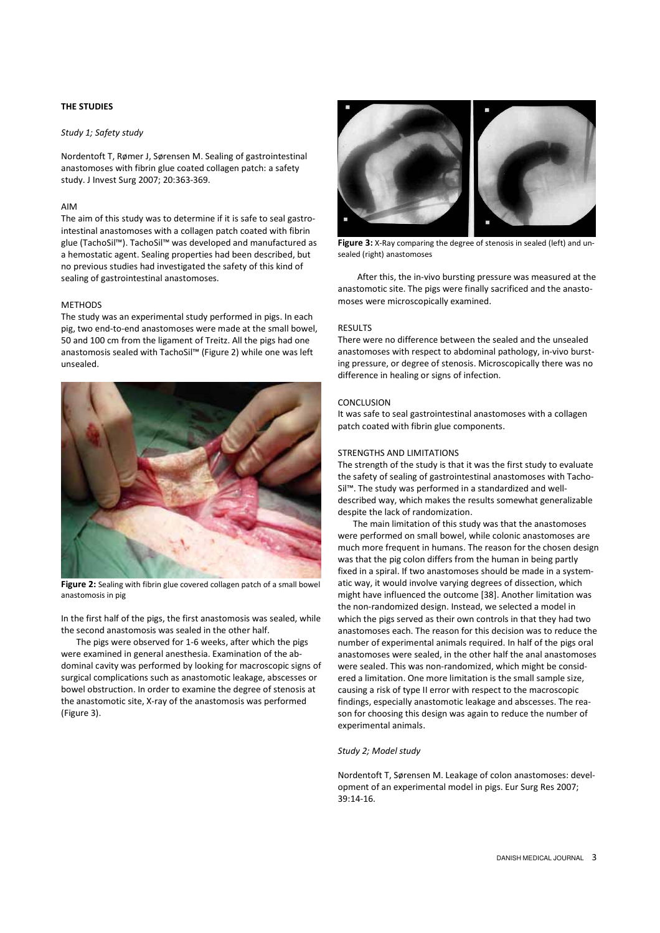# THE STUDIES

# Study 1; Safety study

Nordentoft T, Rømer J, Sørensen M. Sealing of gastrointestinal anastomoses with fibrin glue coated collagen patch: a safety study. J Invest Surg 2007; 20:363-369.

# AIM

The aim of this study was to determine if it is safe to seal gastrointestinal anastomoses with a collagen patch coated with fibrin glue (TachoSil™). TachoSil™ was developed and manufactured as a hemostatic agent. Sealing properties had been described, but no previous studies had investigated the safety of this kind of sealing of gastrointestinal anastomoses.

# METHODS

The study was an experimental study performed in pigs. In each pig, two end-to-end anastomoses were made at the small bowel, 50 and 100 cm from the ligament of Treitz. All the pigs had one anastomosis sealed with TachoSil™ (Figure 2) while one was left unsealed.



Figure 2: Sealing with fibrin glue covered collagen patch of a small bowel anastomosis in pig

In the first half of the pigs, the first anastomosis was sealed, while the second anastomosis was sealed in the other half.

The pigs were observed for 1-6 weeks, after which the pigs were examined in general anesthesia. Examination of the abdominal cavity was performed by looking for macroscopic signs of surgical complications such as anastomotic leakage, abscesses or bowel obstruction. In order to examine the degree of stenosis at the anastomotic site, X-ray of the anastomosis was performed (Figure 3).



Figure 3: X-Ray comparing the degree of stenosis in sealed (left) and unsealed (right) anastomoses

 After this, the in-vivo bursting pressure was measured at the anastomotic site. The pigs were finally sacrificed and the anastomoses were microscopically examined.

#### **RESULTS**

There were no difference between the sealed and the unsealed anastomoses with respect to abdominal pathology, in-vivo bursting pressure, or degree of stenosis. Microscopically there was no difference in healing or signs of infection.

## **CONCLUSION**

It was safe to seal gastrointestinal anastomoses with a collagen patch coated with fibrin glue components.

# STRENGTHS AND LIMITATIONS

The strength of the study is that it was the first study to evaluate the safety of sealing of gastrointestinal anastomoses with Tacho-Sil™. The study was performed in a standardized and welldescribed way, which makes the results somewhat generalizable despite the lack of randomization.

The main limitation of this study was that the anastomoses were performed on small bowel, while colonic anastomoses are much more frequent in humans. The reason for the chosen design was that the pig colon differs from the human in being partly fixed in a spiral. If two anastomoses should be made in a systematic way, it would involve varying degrees of dissection, which might have influenced the outcome [38]. Another limitation was the non-randomized design. Instead, we selected a model in which the pigs served as their own controls in that they had two anastomoses each. The reason for this decision was to reduce the number of experimental animals required. In half of the pigs oral anastomoses were sealed, in the other half the anal anastomoses were sealed. This was non-randomized, which might be considered a limitation. One more limitation is the small sample size, causing a risk of type II error with respect to the macroscopic findings, especially anastomotic leakage and abscesses. The reason for choosing this design was again to reduce the number of experimental animals.

#### Study 2; Model study

Nordentoft T, Sørensen M. Leakage of colon anastomoses: development of an experimental model in pigs. Eur Surg Res 2007; 39:14-16.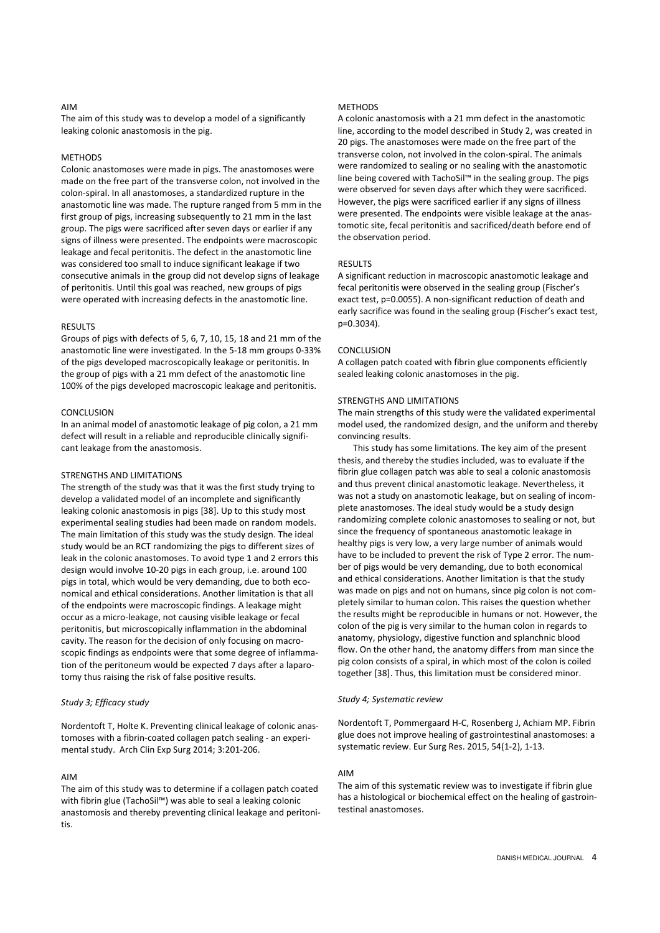#### AIM

The aim of this study was to develop a model of a significantly leaking colonic anastomosis in the pig.

#### **METHODS**

Colonic anastomoses were made in pigs. The anastomoses were made on the free part of the transverse colon, not involved in the colon-spiral. In all anastomoses, a standardized rupture in the anastomotic line was made. The rupture ranged from 5 mm in the first group of pigs, increasing subsequently to 21 mm in the last group. The pigs were sacrificed after seven days or earlier if any signs of illness were presented. The endpoints were macroscopic leakage and fecal peritonitis. The defect in the anastomotic line was considered too small to induce significant leakage if two consecutive animals in the group did not develop signs of leakage of peritonitis. Until this goal was reached, new groups of pigs were operated with increasing defects in the anastomotic line.

## **RESULTS**

Groups of pigs with defects of 5, 6, 7, 10, 15, 18 and 21 mm of the anastomotic line were investigated. In the 5-18 mm groups 0-33% of the pigs developed macroscopically leakage or peritonitis. In the group of pigs with a 21 mm defect of the anastomotic line 100% of the pigs developed macroscopic leakage and peritonitis.

#### CONCLUSION

In an animal model of anastomotic leakage of pig colon, a 21 mm defect will result in a reliable and reproducible clinically significant leakage from the anastomosis.

#### STRENGTHS AND LIMITATIONS

The strength of the study was that it was the first study trying to develop a validated model of an incomplete and significantly leaking colonic anastomosis in pigs [38]. Up to this study most experimental sealing studies had been made on random models. The main limitation of this study was the study design. The ideal study would be an RCT randomizing the pigs to different sizes of leak in the colonic anastomoses. To avoid type 1 and 2 errors this design would involve 10-20 pigs in each group, i.e. around 100 pigs in total, which would be very demanding, due to both economical and ethical considerations. Another limitation is that all of the endpoints were macroscopic findings. A leakage might occur as a micro-leakage, not causing visible leakage or fecal peritonitis, but microscopically inflammation in the abdominal cavity. The reason for the decision of only focusing on macroscopic findings as endpoints were that some degree of inflammation of the peritoneum would be expected 7 days after a laparotomy thus raising the risk of false positive results.

# Study 3; Efficacy study

Nordentoft T, Holte K. Preventing clinical leakage of colonic anastomoses with a fibrin-coated collagen patch sealing - an experimental study. Arch Clin Exp Surg 2014; 3:201-206.

#### AIM

The aim of this study was to determine if a collagen patch coated with fibrin glue (TachoSil™) was able to seal a leaking colonic anastomosis and thereby preventing clinical leakage and peritonitis.

#### **METHODS**

A colonic anastomosis with a 21 mm defect in the anastomotic line, according to the model described in Study 2, was created in 20 pigs. The anastomoses were made on the free part of the transverse colon, not involved in the colon-spiral. The animals were randomized to sealing or no sealing with the anastomotic line being covered with TachoSil™ in the sealing group. The pigs were observed for seven days after which they were sacrificed. However, the pigs were sacrificed earlier if any signs of illness were presented. The endpoints were visible leakage at the anastomotic site, fecal peritonitis and sacrificed/death before end of the observation period.

#### **RESULTS**

A significant reduction in macroscopic anastomotic leakage and fecal peritonitis were observed in the sealing group (Fischer's exact test, p=0.0055). A non-significant reduction of death and early sacrifice was found in the sealing group (Fischer's exact test, p=0.3034).

#### **CONCLUSION**

A collagen patch coated with fibrin glue components efficiently sealed leaking colonic anastomoses in the pig.

#### STRENGTHS AND LIMITATIONS

The main strengths of this study were the validated experimental model used, the randomized design, and the uniform and thereby convincing results.

This study has some limitations. The key aim of the present thesis, and thereby the studies included, was to evaluate if the fibrin glue collagen patch was able to seal a colonic anastomosis and thus prevent clinical anastomotic leakage. Nevertheless, it was not a study on anastomotic leakage, but on sealing of incomplete anastomoses. The ideal study would be a study design randomizing complete colonic anastomoses to sealing or not, but since the frequency of spontaneous anastomotic leakage in healthy pigs is very low, a very large number of animals would have to be included to prevent the risk of Type 2 error. The number of pigs would be very demanding, due to both economical and ethical considerations. Another limitation is that the study was made on pigs and not on humans, since pig colon is not completely similar to human colon. This raises the question whether the results might be reproducible in humans or not. However, the colon of the pig is very similar to the human colon in regards to anatomy, physiology, digestive function and splanchnic blood flow. On the other hand, the anatomy differs from man since the pig colon consists of a spiral, in which most of the colon is coiled together [38]. Thus, this limitation must be considered minor.

# Study 4; Systematic review

Nordentoft T, Pommergaard H-C, Rosenberg J, Achiam MP. Fibrin glue does not improve healing of gastrointestinal anastomoses: a systematic review. Eur Surg Res. 2015, 54(1-2), 1-13.

#### AIM

The aim of this systematic review was to investigate if fibrin glue has a histological or biochemical effect on the healing of gastrointestinal anastomoses.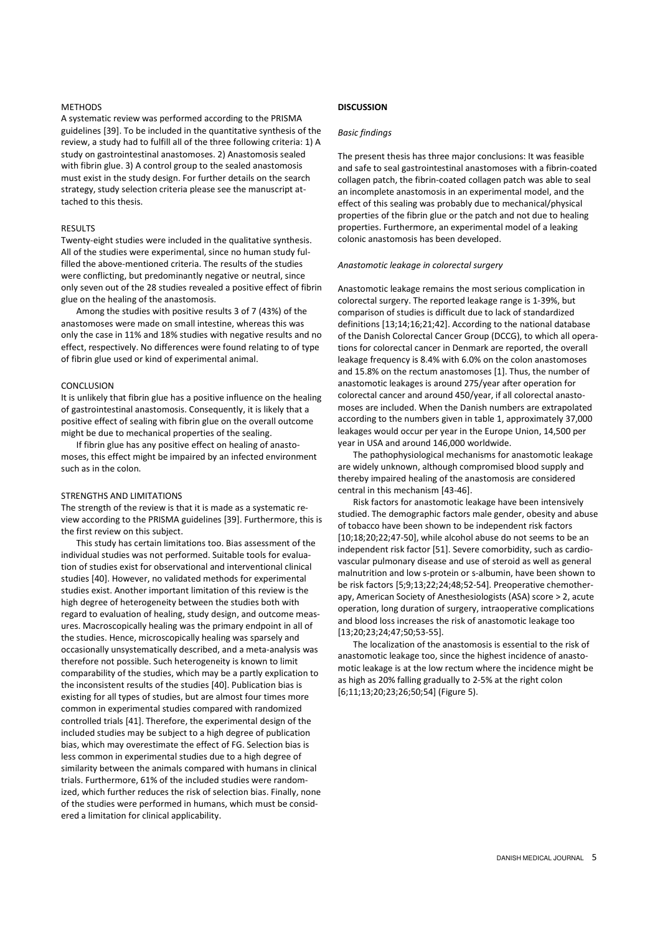## **METHODS**

A systematic review was performed according to the PRISMA guidelines [39]. To be included in the quantitative synthesis of the review, a study had to fulfill all of the three following criteria: 1) A study on gastrointestinal anastomoses. 2) Anastomosis sealed with fibrin glue. 3) A control group to the sealed anastomosis must exist in the study design. For further details on the search strategy, study selection criteria please see the manuscript attached to this thesis.

# **RESULTS**

Twenty-eight studies were included in the qualitative synthesis. All of the studies were experimental, since no human study fulfilled the above-mentioned criteria. The results of the studies were conflicting, but predominantly negative or neutral, since only seven out of the 28 studies revealed a positive effect of fibrin glue on the healing of the anastomosis.

Among the studies with positive results 3 of 7 (43%) of the anastomoses were made on small intestine, whereas this was only the case in 11% and 18% studies with negative results and no effect, respectively. No differences were found relating to of type of fibrin glue used or kind of experimental animal.

# CONCLUSION

It is unlikely that fibrin glue has a positive influence on the healing of gastrointestinal anastomosis. Consequently, it is likely that a positive effect of sealing with fibrin glue on the overall outcome might be due to mechanical properties of the sealing.

If fibrin glue has any positive effect on healing of anastomoses, this effect might be impaired by an infected environment such as in the colon.

# STRENGTHS AND LIMITATIONS

The strength of the review is that it is made as a systematic review according to the PRISMA guidelines [39]. Furthermore, this is the first review on this subject.

This study has certain limitations too. Bias assessment of the individual studies was not performed. Suitable tools for evaluation of studies exist for observational and interventional clinical studies [40]. However, no validated methods for experimental studies exist. Another important limitation of this review is the high degree of heterogeneity between the studies both with regard to evaluation of healing, study design, and outcome measures. Macroscopically healing was the primary endpoint in all of the studies. Hence, microscopically healing was sparsely and occasionally unsystematically described, and a meta-analysis was therefore not possible. Such heterogeneity is known to limit comparability of the studies, which may be a partly explication to the inconsistent results of the studies [40]. Publication bias is existing for all types of studies, but are almost four times more common in experimental studies compared with randomized controlled trials [41]. Therefore, the experimental design of the included studies may be subject to a high degree of publication bias, which may overestimate the effect of FG. Selection bias is less common in experimental studies due to a high degree of similarity between the animals compared with humans in clinical trials. Furthermore, 61% of the included studies were randomized, which further reduces the risk of selection bias. Finally, none of the studies were performed in humans, which must be considered a limitation for clinical applicability.

# **DISCUSSION**

#### Basic findings

The present thesis has three major conclusions: It was feasible and safe to seal gastrointestinal anastomoses with a fibrin-coated collagen patch, the fibrin-coated collagen patch was able to seal an incomplete anastomosis in an experimental model, and the effect of this sealing was probably due to mechanical/physical properties of the fibrin glue or the patch and not due to healing properties. Furthermore, an experimental model of a leaking colonic anastomosis has been developed.

## Anastomotic leakage in colorectal surgery

Anastomotic leakage remains the most serious complication in colorectal surgery. The reported leakage range is 1-39%, but comparison of studies is difficult due to lack of standardized definitions [13;14;16;21;42]. According to the national database of the Danish Colorectal Cancer Group (DCCG), to which all operations for colorectal cancer in Denmark are reported, the overall leakage frequency is 8.4% with 6.0% on the colon anastomoses and 15.8% on the rectum anastomoses [1]. Thus, the number of anastomotic leakages is around 275/year after operation for colorectal cancer and around 450/year, if all colorectal anastomoses are included. When the Danish numbers are extrapolated according to the numbers given in table 1, approximately 37,000 leakages would occur per year in the Europe Union, 14,500 per year in USA and around 146,000 worldwide.

The pathophysiological mechanisms for anastomotic leakage are widely unknown, although compromised blood supply and thereby impaired healing of the anastomosis are considered central in this mechanism [43-46].

Risk factors for anastomotic leakage have been intensively studied. The demographic factors male gender, obesity and abuse of tobacco have been shown to be independent risk factors [10;18;20;22;47-50], while alcohol abuse do not seems to be an independent risk factor [51]. Severe comorbidity, such as cardiovascular pulmonary disease and use of steroid as well as general malnutrition and low s-protein or s-albumin, have been shown to be risk factors [5;9;13;22;24;48;52-54]. Preoperative chemotherapy, American Society of Anesthesiologists (ASA) score > 2, acute operation, long duration of surgery, intraoperative complications and blood loss increases the risk of anastomotic leakage too [13;20;23;24;47;50;53-55].

The localization of the anastomosis is essential to the risk of anastomotic leakage too, since the highest incidence of anastomotic leakage is at the low rectum where the incidence might be as high as 20% falling gradually to 2-5% at the right colon [6;11;13;20;23;26;50;54] (Figure 5).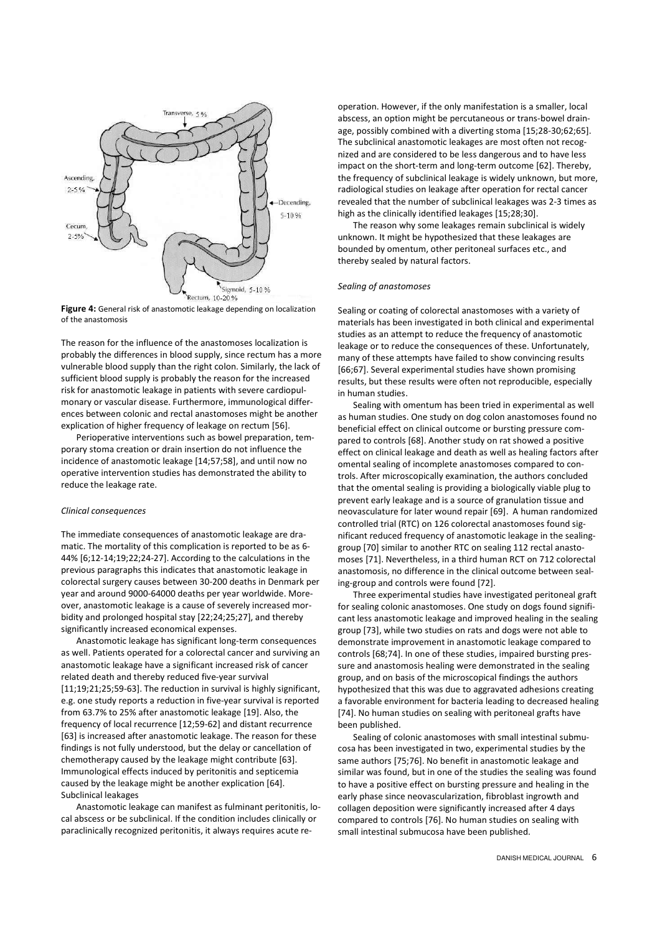

Figure 4: General risk of anastomotic leakage depending on localization of the anastomosis

The reason for the influence of the anastomoses localization is probably the differences in blood supply, since rectum has a more vulnerable blood supply than the right colon. Similarly, the lack of sufficient blood supply is probably the reason for the increased risk for anastomotic leakage in patients with severe cardiopulmonary or vascular disease. Furthermore, immunological differences between colonic and rectal anastomoses might be another explication of higher frequency of leakage on rectum [56].

Perioperative interventions such as bowel preparation, temporary stoma creation or drain insertion do not influence the incidence of anastomotic leakage [14;57;58], and until now no operative intervention studies has demonstrated the ability to reduce the leakage rate.

#### Clinical consequences

The immediate consequences of anastomotic leakage are dramatic. The mortality of this complication is reported to be as 6- 44% [6;12-14;19;22;24-27]. According to the calculations in the previous paragraphs this indicates that anastomotic leakage in colorectal surgery causes between 30-200 deaths in Denmark per year and around 9000-64000 deaths per year worldwide. Moreover, anastomotic leakage is a cause of severely increased morbidity and prolonged hospital stay [22;24;25;27], and thereby significantly increased economical expenses.

Anastomotic leakage has significant long-term consequences as well. Patients operated for a colorectal cancer and surviving an anastomotic leakage have a significant increased risk of cancer related death and thereby reduced five-year survival [11;19;21;25;59-63]. The reduction in survival is highly significant, e.g. one study reports a reduction in five-year survival is reported from 63.7% to 25% after anastomotic leakage [19]. Also, the frequency of local recurrence [12;59-62] and distant recurrence [63] is increased after anastomotic leakage. The reason for these findings is not fully understood, but the delay or cancellation of chemotherapy caused by the leakage might contribute [63]. Immunological effects induced by peritonitis and septicemia caused by the leakage might be another explication [64]. Subclinical leakages

Anastomotic leakage can manifest as fulminant peritonitis, local abscess or be subclinical. If the condition includes clinically or paraclinically recognized peritonitis, it always requires acute reoperation. However, if the only manifestation is a smaller, local abscess, an option might be percutaneous or trans-bowel drainage, possibly combined with a diverting stoma [15;28-30;62;65]. The subclinical anastomotic leakages are most often not recognized and are considered to be less dangerous and to have less impact on the short-term and long-term outcome [62]. Thereby, the frequency of subclinical leakage is widely unknown, but more, radiological studies on leakage after operation for rectal cancer revealed that the number of subclinical leakages was 2-3 times as high as the clinically identified leakages [15;28;30].

The reason why some leakages remain subclinical is widely unknown. It might be hypothesized that these leakages are bounded by omentum, other peritoneal surfaces etc., and thereby sealed by natural factors.

# Sealing of anastomoses

Sealing or coating of colorectal anastomoses with a variety of materials has been investigated in both clinical and experimental studies as an attempt to reduce the frequency of anastomotic leakage or to reduce the consequences of these. Unfortunately, many of these attempts have failed to show convincing results [66;67]. Several experimental studies have shown promising results, but these results were often not reproducible, especially in human studies.

Sealing with omentum has been tried in experimental as well as human studies. One study on dog colon anastomoses found no beneficial effect on clinical outcome or bursting pressure compared to controls [68]. Another study on rat showed a positive effect on clinical leakage and death as well as healing factors after omental sealing of incomplete anastomoses compared to controls. After microscopically examination, the authors concluded that the omental sealing is providing a biologically viable plug to prevent early leakage and is a source of granulation tissue and neovasculature for later wound repair [69]. A human randomized controlled trial (RTC) on 126 colorectal anastomoses found significant reduced frequency of anastomotic leakage in the sealinggroup [70] similar to another RTC on sealing 112 rectal anastomoses [71]. Nevertheless, in a third human RCT on 712 colorectal anastomosis, no difference in the clinical outcome between sealing-group and controls were found [72].

Three experimental studies have investigated peritoneal graft for sealing colonic anastomoses. One study on dogs found significant less anastomotic leakage and improved healing in the sealing group [73], while two studies on rats and dogs were not able to demonstrate improvement in anastomotic leakage compared to controls [68;74]. In one of these studies, impaired bursting pressure and anastomosis healing were demonstrated in the sealing group, and on basis of the microscopical findings the authors hypothesized that this was due to aggravated adhesions creating a favorable environment for bacteria leading to decreased healing [74]. No human studies on sealing with peritoneal grafts have been published.

Sealing of colonic anastomoses with small intestinal submucosa has been investigated in two, experimental studies by the same authors [75;76]. No benefit in anastomotic leakage and similar was found, but in one of the studies the sealing was found to have a positive effect on bursting pressure and healing in the early phase since neovascularization, fibroblast ingrowth and collagen deposition were significantly increased after 4 days compared to controls [76]. No human studies on sealing with small intestinal submucosa have been published.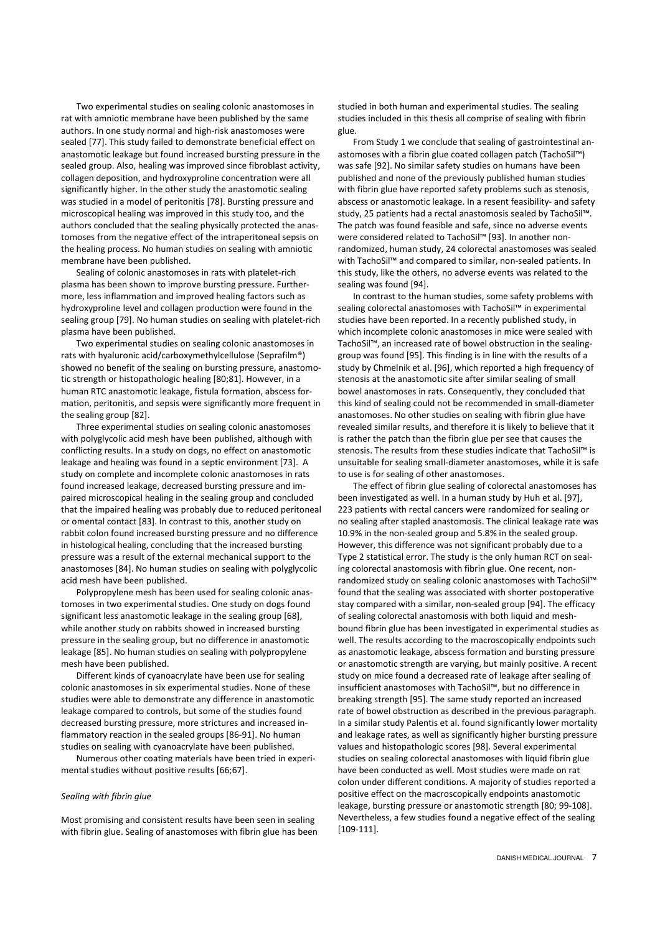Two experimental studies on sealing colonic anastomoses in rat with amniotic membrane have been published by the same authors. In one study normal and high-risk anastomoses were sealed [77]. This study failed to demonstrate beneficial effect on anastomotic leakage but found increased bursting pressure in the sealed group. Also, healing was improved since fibroblast activity, collagen deposition, and hydroxyproline concentration were all significantly higher. In the other study the anastomotic sealing was studied in a model of peritonitis [78]. Bursting pressure and microscopical healing was improved in this study too, and the authors concluded that the sealing physically protected the anastomoses from the negative effect of the intraperitoneal sepsis on the healing process. No human studies on sealing with amniotic membrane have been published.

Sealing of colonic anastomoses in rats with platelet-rich plasma has been shown to improve bursting pressure. Furthermore, less inflammation and improved healing factors such as hydroxyproline level and collagen production were found in the sealing group [79]. No human studies on sealing with platelet-rich plasma have been published.

Two experimental studies on sealing colonic anastomoses in rats with hyaluronic acid/carboxymethylcellulose (Seprafilm®) showed no benefit of the sealing on bursting pressure, anastomotic strength or histopathologic healing [80;81]. However, in a human RTC anastomotic leakage, fistula formation, abscess formation, peritonitis, and sepsis were significantly more frequent in the sealing group [82].

Three experimental studies on sealing colonic anastomoses with polyglycolic acid mesh have been published, although with conflicting results. In a study on dogs, no effect on anastomotic leakage and healing was found in a septic environment [73]. A study on complete and incomplete colonic anastomoses in rats found increased leakage, decreased bursting pressure and impaired microscopical healing in the sealing group and concluded that the impaired healing was probably due to reduced peritoneal or omental contact [83]. In contrast to this, another study on rabbit colon found increased bursting pressure and no difference in histological healing, concluding that the increased bursting pressure was a result of the external mechanical support to the anastomoses [84]. No human studies on sealing with polyglycolic acid mesh have been published.

Polypropylene mesh has been used for sealing colonic anastomoses in two experimental studies. One study on dogs found significant less anastomotic leakage in the sealing group [68], while another study on rabbits showed in increased bursting pressure in the sealing group, but no difference in anastomotic leakage [85]. No human studies on sealing with polypropylene mesh have been published.

Different kinds of cyanoacrylate have been use for sealing colonic anastomoses in six experimental studies. None of these studies were able to demonstrate any difference in anastomotic leakage compared to controls, but some of the studies found decreased bursting pressure, more strictures and increased inflammatory reaction in the sealed groups [86-91]. No human studies on sealing with cyanoacrylate have been published.

Numerous other coating materials have been tried in experimental studies without positive results [66;67].

# Sealing with fibrin glue

Most promising and consistent results have been seen in sealing with fibrin glue. Sealing of anastomoses with fibrin glue has been studied in both human and experimental studies. The sealing studies included in this thesis all comprise of sealing with fibrin glue.

From Study 1 we conclude that sealing of gastrointestinal anastomoses with a fibrin glue coated collagen patch (TachoSil™) was safe [92]. No similar safety studies on humans have been published and none of the previously published human studies with fibrin glue have reported safety problems such as stenosis, abscess or anastomotic leakage. In a resent feasibility- and safety study, 25 patients had a rectal anastomosis sealed by TachoSil™. The patch was found feasible and safe, since no adverse events were considered related to TachoSil™ [93]. In another nonrandomized, human study, 24 colorectal anastomoses was sealed with TachoSil™ and compared to similar, non-sealed patients. In this study, like the others, no adverse events was related to the sealing was found [94].

In contrast to the human studies, some safety problems with sealing colorectal anastomoses with TachoSil™ in experimental studies have been reported. In a recently published study, in which incomplete colonic anastomoses in mice were sealed with TachoSil™, an increased rate of bowel obstruction in the sealinggroup was found [95]. This finding is in line with the results of a study by Chmelnik et al. [96], which reported a high frequency of stenosis at the anastomotic site after similar sealing of small bowel anastomoses in rats. Consequently, they concluded that this kind of sealing could not be recommended in small-diameter anastomoses. No other studies on sealing with fibrin glue have revealed similar results, and therefore it is likely to believe that it is rather the patch than the fibrin glue per see that causes the stenosis. The results from these studies indicate that TachoSil™ is unsuitable for sealing small-diameter anastomoses, while it is safe to use is for sealing of other anastomoses.

The effect of fibrin glue sealing of colorectal anastomoses has been investigated as well. In a human study by Huh et al. [97], 223 patients with rectal cancers were randomized for sealing or no sealing after stapled anastomosis. The clinical leakage rate was 10.9% in the non-sealed group and 5.8% in the sealed group. However, this difference was not significant probably due to a Type 2 statistical error. The study is the only human RCT on sealing colorectal anastomosis with fibrin glue. One recent, nonrandomized study on sealing colonic anastomoses with TachoSil™ found that the sealing was associated with shorter postoperative stay compared with a similar, non-sealed group [94]. The efficacy of sealing colorectal anastomosis with both liquid and meshbound fibrin glue has been investigated in experimental studies as well. The results according to the macroscopically endpoints such as anastomotic leakage, abscess formation and bursting pressure or anastomotic strength are varying, but mainly positive. A recent study on mice found a decreased rate of leakage after sealing of insufficient anastomoses with TachoSil™, but no difference in breaking strength [95]. The same study reported an increased rate of bowel obstruction as described in the previous paragraph. In a similar study Palentis et al. found significantly lower mortality and leakage rates, as well as significantly higher bursting pressure values and histopathologic scores [98]. Several experimental studies on sealing colorectal anastomoses with liquid fibrin glue have been conducted as well. Most studies were made on rat colon under different conditions. A majority of studies reported a positive effect on the macroscopically endpoints anastomotic leakage, bursting pressure or anastomotic strength [80; 99-108]. Nevertheless, a few studies found a negative effect of the sealing [109-111].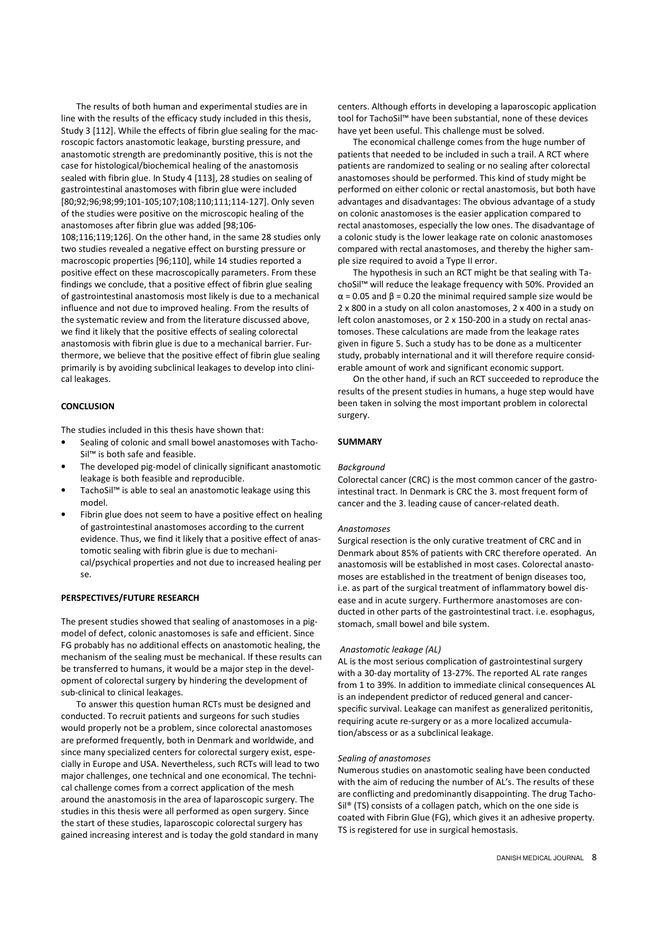The results of both human and experimental studies are in line with the results of the efficacy study included in this thesis, Study 3 [112]. While the effects of fibrin glue sealing for the macroscopic factors anastomotic leakage, bursting pressure, and anastomotic strength are predominantly positive, this is not the case for histological/biochemical healing of the anastomosis sealed with fibrin glue. In Study 4 [113], 28 studies on sealing of gastrointestinal anastomoses with fibrin glue were included [80;92;96;98;99;101-105;107;108;110;111;114-127]. Only seven of the studies were positive on the microscopic healing of the anastomoses after fibrin glue was added [98;106- 108;116;119;126]. On the other hand, in the same 28 studies only two studies revealed a negative effect on bursting pressure or macroscopic properties [96;110], while 14 studies reported a positive effect on these macroscopically parameters. From these findings we conclude, that a positive effect of fibrin glue sealing of gastrointestinal anastomosis most likely is due to a mechanical influence and not due to improved healing. From the results of the systematic review and from the literature discussed above, we find it likely that the positive effects of sealing colorectal anastomosis with fibrin glue is due to a mechanical barrier. Furthermore, we believe that the positive effect of fibrin glue sealing primarily is by avoiding subclinical leakages to develop into clinical leakages.

# **CONCLUSION**

The studies included in this thesis have shown that:

- Sealing of colonic and small bowel anastomoses with Tacho-Sil™ is both safe and feasible.
- The developed pig-model of clinically significant anastomotic leakage is both feasible and reproducible.
- TachoSil™ is able to seal an anastomotic leakage using this model.
- Fibrin glue does not seem to have a positive effect on healing of gastrointestinal anastomoses according to the current evidence. Thus, we find it likely that a positive effect of anastomotic sealing with fibrin glue is due to mechanical/psychical properties and not due to increased healing per se.

## PERSPECTIVES/FUTURE RESEARCH

The present studies showed that sealing of anastomoses in a pigmodel of defect, colonic anastomoses is safe and efficient. Since FG probably has no additional effects on anastomotic healing, the mechanism of the sealing must be mechanical. If these results can be transferred to humans, it would be a major step in the development of colorectal surgery by hindering the development of sub-clinical to clinical leakages.

To answer this question human RCTs must be designed and conducted. To recruit patients and surgeons for such studies would properly not be a problem, since colorectal anastomoses are preformed frequently, both in Denmark and worldwide, and since many specialized centers for colorectal surgery exist, especially in Europe and USA. Nevertheless, such RCTs will lead to two major challenges, one technical and one economical. The technical challenge comes from a correct application of the mesh around the anastomosis in the area of laparoscopic surgery. The studies in this thesis were all performed as open surgery. Since the start of these studies, laparoscopic colorectal surgery has gained increasing interest and is today the gold standard in many

centers. Although efforts in developing a laparoscopic application tool for TachoSil™ have been substantial, none of these devices have yet been useful. This challenge must be solved.

The economical challenge comes from the huge number of patients that needed to be included in such a trail. A RCT where patients are randomized to sealing or no sealing after colorectal anastomoses should be performed. This kind of study might be performed on either colonic or rectal anastomosis, but both have advantages and disadvantages: The obvious advantage of a study on colonic anastomoses is the easier application compared to rectal anastomoses, especially the low ones. The disadvantage of a colonic study is the lower leakage rate on colonic anastomoses compared with rectal anastomoses, and thereby the higher sample size required to avoid a Type II error.

The hypothesis in such an RCT might be that sealing with TachoSil™ will reduce the leakage frequency with 50%. Provided an  $\alpha$  = 0.05 and  $\beta$  = 0.20 the minimal required sample size would be 2 x 800 in a study on all colon anastomoses, 2 x 400 in a study on left colon anastomoses, or 2 x 150-200 in a study on rectal anastomoses. These calculations are made from the leakage rates given in figure 5. Such a study has to be done as a multicenter study, probably international and it will therefore require considerable amount of work and significant economic support.

On the other hand, if such an RCT succeeded to reproduce the results of the present studies in humans, a huge step would have been taken in solving the most important problem in colorectal surgery.

# SUMMARY

#### **Backaround**

Colorectal cancer (CRC) is the most common cancer of the gastrointestinal tract. In Denmark is CRC the 3. most frequent form of cancer and the 3. leading cause of cancer-related death.

#### Anastomoses

Surgical resection is the only curative treatment of CRC and in Denmark about 85% of patients with CRC therefore operated. An anastomosis will be established in most cases. Colorectal anastomoses are established in the treatment of benign diseases too, i.e. as part of the surgical treatment of inflammatory bowel disease and in acute surgery. Furthermore anastomoses are conducted in other parts of the gastrointestinal tract. i.e. esophagus, stomach, small bowel and bile system.

#### Anastomotic leakage (AL)

AL is the most serious complication of gastrointestinal surgery with a 30-day mortality of 13-27%. The reported AL rate ranges from 1 to 39%. In addition to immediate clinical consequences AL is an independent predictor of reduced general and cancerspecific survival. Leakage can manifest as generalized peritonitis, requiring acute re-surgery or as a more localized accumulation/abscess or as a subclinical leakage.

#### Sealing of anastomoses

Numerous studies on anastomotic sealing have been conducted with the aim of reducing the number of AL's. The results of these are conflicting and predominantly disappointing. The drug Tacho-Sil® (TS) consists of a collagen patch, which on the one side is coated with Fibrin Glue (FG), which gives it an adhesive property. TS is registered for use in surgical hemostasis.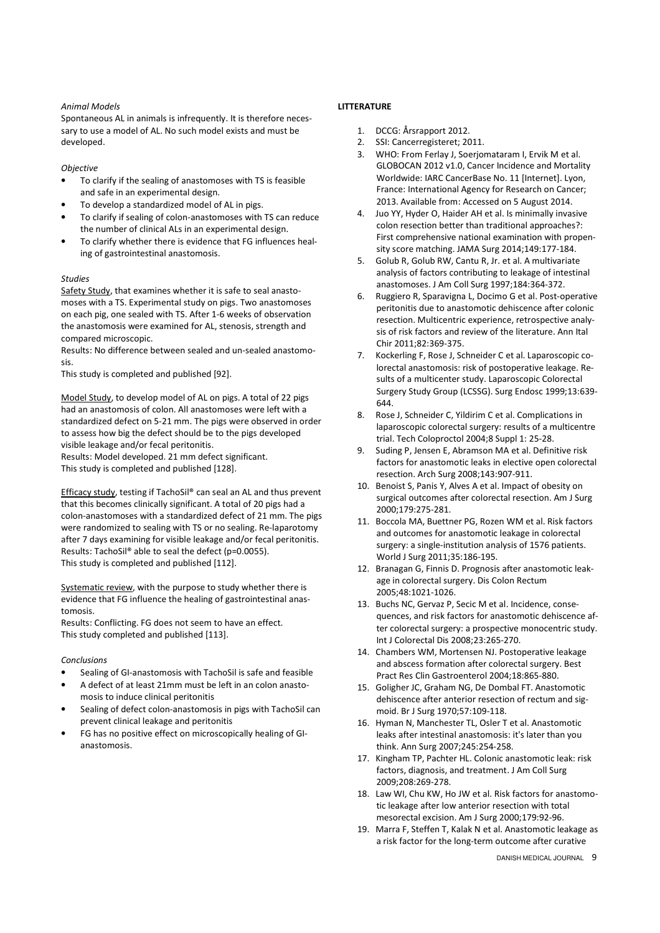# Animal Models

Spontaneous AL in animals is infrequently. It is therefore necessary to use a model of AL. No such model exists and must be developed.

**Objective** 

- To clarify if the sealing of anastomoses with TS is feasible and safe in an experimental design.
- To develop a standardized model of AL in pigs.
- To clarify if sealing of colon-anastomoses with TS can reduce the number of clinical ALs in an experimental design.
- To clarify whether there is evidence that FG influences healing of gastrointestinal anastomosis.

# Studies

Safety Study, that examines whether it is safe to seal anastomoses with a TS. Experimental study on pigs. Two anastomoses on each pig, one sealed with TS. After 1-6 weeks of observation the anastomosis were examined for AL, stenosis, strength and compared microscopic.

Results: No difference between sealed and un-sealed anastomosis.

This study is completed and published [92].

Model Study, to develop model of AL on pigs. A total of 22 pigs had an anastomosis of colon. All anastomoses were left with a standardized defect on 5-21 mm. The pigs were observed in order to assess how big the defect should be to the pigs developed visible leakage and/or fecal peritonitis.

Results: Model developed. 21 mm defect significant. This study is completed and published [128].

Efficacy study, testing if TachoSil® can seal an AL and thus prevent that this becomes clinically significant. A total of 20 pigs had a colon-anastomoses with a standardized defect of 21 mm. The pigs were randomized to sealing with TS or no sealing. Re-laparotomy after 7 days examining for visible leakage and/or fecal peritonitis. Results: TachoSil® able to seal the defect (p=0.0055). This study is completed and published [112].

Systematic review, with the purpose to study whether there is evidence that FG influence the healing of gastrointestinal anastomosis.

Results: Conflicting. FG does not seem to have an effect. This study completed and published [113].

# Conclusions

- Sealing of GI-anastomosis with TachoSil is safe and feasible
- A defect of at least 21mm must be left in an colon anastomosis to induce clinical peritonitis
- Sealing of defect colon-anastomosis in pigs with TachoSil can prevent clinical leakage and peritonitis
- FG has no positive effect on microscopically healing of GIanastomosis.

# LITTERATURE

- 1. DCCG: Årsrapport 2012.
- 2. SSI: Cancerregisteret; 2011.
- 3. WHO: From Ferlay J, Soerjomataram I, Ervik M et al. GLOBOCAN 2012 v1.0, Cancer Incidence and Mortality Worldwide: IARC CancerBase No. 11 [Internet]. Lyon, France: International Agency for Research on Cancer; 2013. Available from: Accessed on 5 August 2014.
- 4. Juo YY, Hyder O, Haider AH et al. Is minimally invasive colon resection better than traditional approaches?: First comprehensive national examination with propensity score matching. JAMA Surg 2014;149:177-184.
- 5. Golub R, Golub RW, Cantu R, Jr. et al. A multivariate analysis of factors contributing to leakage of intestinal anastomoses. J Am Coll Surg 1997;184:364-372.
- 6. Ruggiero R, Sparavigna L, Docimo G et al. Post-operative peritonitis due to anastomotic dehiscence after colonic resection. Multicentric experience, retrospective analysis of risk factors and review of the literature. Ann Ital Chir 2011;82:369-375.
- 7. Kockerling F, Rose J, Schneider C et al. Laparoscopic colorectal anastomosis: risk of postoperative leakage. Results of a multicenter study. Laparoscopic Colorectal Surgery Study Group (LCSSG). Surg Endosc 1999;13:639- 644.
- 8. Rose J, Schneider C, Yildirim C et al. Complications in laparoscopic colorectal surgery: results of a multicentre trial. Tech Coloproctol 2004;8 Suppl 1: 25-28.
- 9. Suding P, Jensen E, Abramson MA et al. Definitive risk factors for anastomotic leaks in elective open colorectal resection. Arch Surg 2008;143:907-911.
- 10. Benoist S, Panis Y, Alves A et al. Impact of obesity on surgical outcomes after colorectal resection. Am J Surg 2000;179:275-281.
- 11. Boccola MA, Buettner PG, Rozen WM et al. Risk factors and outcomes for anastomotic leakage in colorectal surgery: a single-institution analysis of 1576 patients. World J Surg 2011;35:186-195.
- 12. Branagan G, Finnis D. Prognosis after anastomotic leakage in colorectal surgery. Dis Colon Rectum 2005;48:1021-1026.
- 13. Buchs NC, Gervaz P, Secic M et al. Incidence, consequences, and risk factors for anastomotic dehiscence after colorectal surgery: a prospective monocentric study. Int J Colorectal Dis 2008;23:265-270.
- 14. Chambers WM, Mortensen NJ. Postoperative leakage and abscess formation after colorectal surgery. Best Pract Res Clin Gastroenterol 2004;18:865-880.
- 15. Goligher JC, Graham NG, De Dombal FT. Anastomotic dehiscence after anterior resection of rectum and sigmoid. Br J Surg 1970;57:109-118.
- 16. Hyman N, Manchester TL, Osler T et al. Anastomotic leaks after intestinal anastomosis: it's later than you think. Ann Surg 2007;245:254-258.
- 17. Kingham TP, Pachter HL. Colonic anastomotic leak: risk factors, diagnosis, and treatment. J Am Coll Surg 2009;208:269-278.
- 18. Law WI, Chu KW, Ho JW et al. Risk factors for anastomotic leakage after low anterior resection with total mesorectal excision. Am J Surg 2000;179:92-96.
- 19. Marra F, Steffen T, Kalak N et al. Anastomotic leakage as a risk factor for the long-term outcome after curative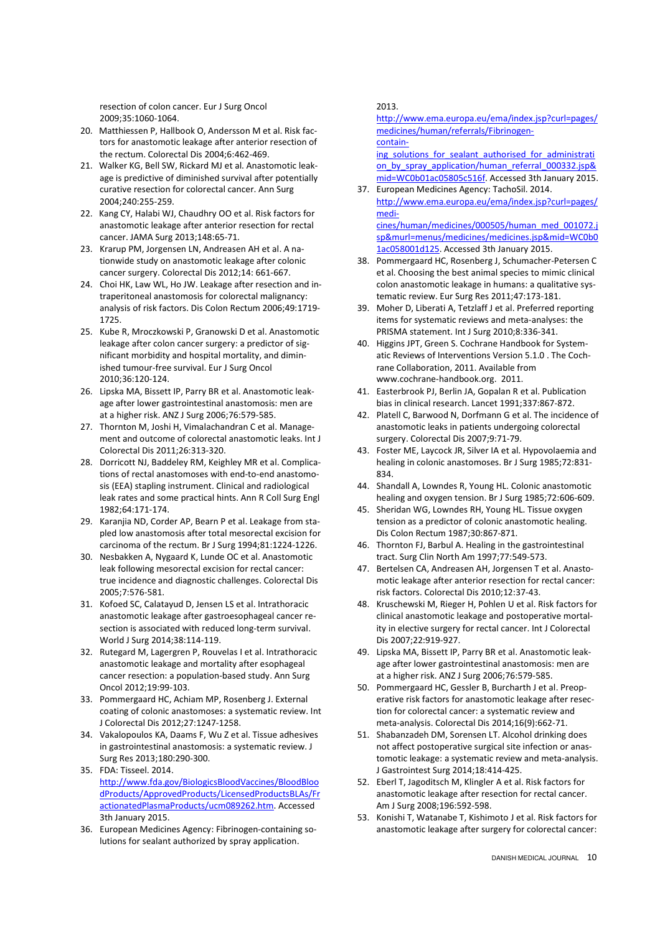resection of colon cancer. Eur J Surg Oncol 2009;35:1060-1064.

- 20. Matthiessen P, Hallbook O, Andersson M et al. Risk factors for anastomotic leakage after anterior resection of the rectum. Colorectal Dis 2004;6:462-469.
- 21. Walker KG, Bell SW, Rickard MJ et al. Anastomotic leakage is predictive of diminished survival after potentially curative resection for colorectal cancer. Ann Surg 2004;240:255-259.
- 22. Kang CY, Halabi WJ, Chaudhry OO et al. Risk factors for anastomotic leakage after anterior resection for rectal cancer. JAMA Surg 2013;148:65-71.
- 23. Krarup PM, Jorgensen LN, Andreasen AH et al. A nationwide study on anastomotic leakage after colonic cancer surgery. Colorectal Dis 2012;14: 661-667.
- 24. Choi HK, Law WL, Ho JW. Leakage after resection and intraperitoneal anastomosis for colorectal malignancy: analysis of risk factors. Dis Colon Rectum 2006;49:1719- 1725.
- 25. Kube R, Mroczkowski P, Granowski D et al. Anastomotic leakage after colon cancer surgery: a predictor of significant morbidity and hospital mortality, and diminished tumour-free survival. Eur J Surg Oncol 2010;36:120-124.
- 26. Lipska MA, Bissett IP, Parry BR et al. Anastomotic leakage after lower gastrointestinal anastomosis: men are at a higher risk. ANZ J Surg 2006;76:579-585.
- 27. Thornton M, Joshi H, Vimalachandran C et al. Management and outcome of colorectal anastomotic leaks. Int J Colorectal Dis 2011;26:313-320.
- 28. Dorricott NJ, Baddeley RM, Keighley MR et al. Complications of rectal anastomoses with end-to-end anastomosis (EEA) stapling instrument. Clinical and radiological leak rates and some practical hints. Ann R Coll Surg Engl 1982;64:171-174.
- 29. Karanjia ND, Corder AP, Bearn P et al. Leakage from stapled low anastomosis after total mesorectal excision for carcinoma of the rectum. Br J Surg 1994;81:1224-1226.
- 30. Nesbakken A, Nygaard K, Lunde OC et al. Anastomotic leak following mesorectal excision for rectal cancer: true incidence and diagnostic challenges. Colorectal Dis 2005;7:576-581.
- 31. Kofoed SC, Calatayud D, Jensen LS et al. Intrathoracic anastomotic leakage after gastroesophageal cancer resection is associated with reduced long-term survival. World J Surg 2014;38:114-119.
- 32. Rutegard M, Lagergren P, Rouvelas I et al. Intrathoracic anastomotic leakage and mortality after esophageal cancer resection: a population-based study. Ann Surg Oncol 2012;19:99-103.
- 33. Pommergaard HC, Achiam MP, Rosenberg J. External coating of colonic anastomoses: a systematic review. Int J Colorectal Dis 2012;27:1247-1258.
- 34. Vakalopoulos KA, Daams F, Wu Z et al. Tissue adhesives in gastrointestinal anastomosis: a systematic review. J Surg Res 2013;180:290-300.
- 35. FDA: Tisseel. 2014. http://www.fda.gov/BiologicsBloodVaccines/BloodBloo dProducts/ApprovedProducts/LicensedProductsBLAs/Fr actionatedPlasmaProducts/ucm089262.htm. Accessed 3th January 2015.
- 36. European Medicines Agency: Fibrinogen-containing solutions for sealant authorized by spray application.

2013.

http://www.ema.europa.eu/ema/index.jsp?curl=pages/ medicines/human/referrals/Fibrinogencontain-

ing solutions for sealant authorised for administrati on\_by\_spray\_application/human\_referral\_000332.jsp& mid=WC0b01ac05805c516f. Accessed 3th January 2015.

37. European Medicines Agency: TachoSil. 2014. http://www.ema.europa.eu/ema/index.jsp?curl=pages/ medicines/human/medicines/000505/human\_med\_001072.j

sp&murl=menus/medicines/medicines.jsp&mid=WC0b0 1ac058001d125. Accessed 3th January 2015.

- 38. Pommergaard HC, Rosenberg J, Schumacher-Petersen C et al. Choosing the best animal species to mimic clinical colon anastomotic leakage in humans: a qualitative systematic review. Eur Surg Res 2011;47:173-181.
- 39. Moher D, Liberati A, Tetzlaff J et al. Preferred reporting items for systematic reviews and meta-analyses: the PRISMA statement. Int J Surg 2010;8:336-341.
- 40. Higgins JPT, Green S. Cochrane Handbook for Systematic Reviews of Interventions Version 5.1.0 . The Cochrane Collaboration, 2011. Available from www.cochrane-handbook.org. 2011.
- 41. Easterbrook PJ, Berlin JA, Gopalan R et al. Publication bias in clinical research. Lancet 1991;337:867-872.
- 42. Platell C, Barwood N, Dorfmann G et al. The incidence of anastomotic leaks in patients undergoing colorectal surgery. Colorectal Dis 2007;9:71-79.
- 43. Foster ME, Laycock JR, Silver IA et al. Hypovolaemia and healing in colonic anastomoses. Br J Surg 1985;72:831- 834.
- 44. Shandall A, Lowndes R, Young HL. Colonic anastomotic healing and oxygen tension. Br J Surg 1985;72:606-609.
- 45. Sheridan WG, Lowndes RH, Young HL. Tissue oxygen tension as a predictor of colonic anastomotic healing. Dis Colon Rectum 1987;30:867-871.
- 46. Thornton FJ, Barbul A. Healing in the gastrointestinal tract. Surg Clin North Am 1997;77:549-573.
- 47. Bertelsen CA, Andreasen AH, Jorgensen T et al. Anastomotic leakage after anterior resection for rectal cancer: risk factors. Colorectal Dis 2010;12:37-43.
- 48. Kruschewski M, Rieger H, Pohlen U et al. Risk factors for clinical anastomotic leakage and postoperative mortality in elective surgery for rectal cancer. Int J Colorectal Dis 2007;22:919-927.
- 49. Lipska MA, Bissett IP, Parry BR et al. Anastomotic leakage after lower gastrointestinal anastomosis: men are at a higher risk. ANZ J Surg 2006;76:579-585.
- 50. Pommergaard HC, Gessler B, Burcharth J et al. Preoperative risk factors for anastomotic leakage after resection for colorectal cancer: a systematic review and meta-analysis. Colorectal Dis 2014;16(9):662-71.
- 51. Shabanzadeh DM, Sorensen LT. Alcohol drinking does not affect postoperative surgical site infection or anastomotic leakage: a systematic review and meta-analysis. J Gastrointest Surg 2014;18:414-425.
- 52. Eberl T, Jagoditsch M, Klingler A et al. Risk factors for anastomotic leakage after resection for rectal cancer. Am J Surg 2008;196:592-598.
- 53. Konishi T, Watanabe T, Kishimoto J et al. Risk factors for anastomotic leakage after surgery for colorectal cancer: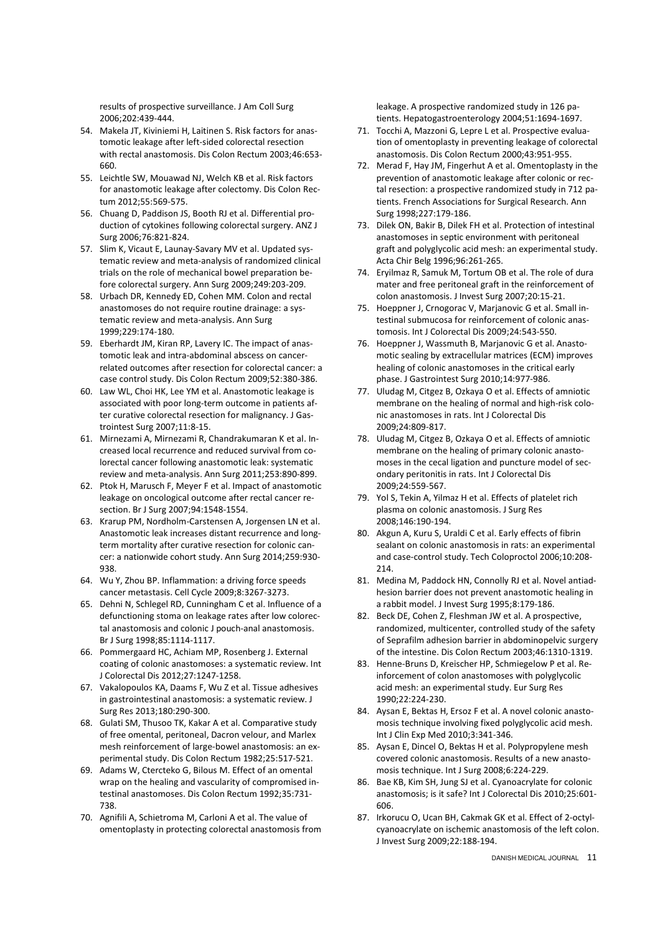results of prospective surveillance. J Am Coll Surg 2006;202:439-444.

- 54. Makela JT, Kiviniemi H, Laitinen S. Risk factors for anastomotic leakage after left-sided colorectal resection with rectal anastomosis. Dis Colon Rectum 2003;46:653- 660.
- 55. Leichtle SW, Mouawad NJ, Welch KB et al. Risk factors for anastomotic leakage after colectomy. Dis Colon Rectum 2012;55:569-575.
- 56. Chuang D, Paddison JS, Booth RJ et al. Differential production of cytokines following colorectal surgery. ANZ J Surg 2006;76:821-824.
- 57. Slim K, Vicaut E, Launay-Savary MV et al. Updated systematic review and meta-analysis of randomized clinical trials on the role of mechanical bowel preparation before colorectal surgery. Ann Surg 2009;249:203-209.
- 58. Urbach DR, Kennedy ED, Cohen MM. Colon and rectal anastomoses do not require routine drainage: a systematic review and meta-analysis. Ann Surg 1999;229:174-180.
- 59. Eberhardt JM, Kiran RP, Lavery IC. The impact of anastomotic leak and intra-abdominal abscess on cancerrelated outcomes after resection for colorectal cancer: a case control study. Dis Colon Rectum 2009;52:380-386.
- 60. Law WL, Choi HK, Lee YM et al. Anastomotic leakage is associated with poor long-term outcome in patients after curative colorectal resection for malignancy. J Gastrointest Surg 2007;11:8-15.
- 61. Mirnezami A, Mirnezami R, Chandrakumaran K et al. Increased local recurrence and reduced survival from colorectal cancer following anastomotic leak: systematic review and meta-analysis. Ann Surg 2011;253:890-899.
- 62. Ptok H, Marusch F, Meyer F et al. Impact of anastomotic leakage on oncological outcome after rectal cancer resection. Br J Surg 2007;94:1548-1554.
- 63. Krarup PM, Nordholm-Carstensen A, Jorgensen LN et al. Anastomotic leak increases distant recurrence and longterm mortality after curative resection for colonic cancer: a nationwide cohort study. Ann Surg 2014;259:930- 938.
- 64. Wu Y, Zhou BP. Inflammation: a driving force speeds cancer metastasis. Cell Cycle 2009;8:3267-3273.
- 65. Dehni N, Schlegel RD, Cunningham C et al. Influence of a defunctioning stoma on leakage rates after low colorectal anastomosis and colonic J pouch-anal anastomosis. Br J Surg 1998;85:1114-1117.
- 66. Pommergaard HC, Achiam MP, Rosenberg J. External coating of colonic anastomoses: a systematic review. Int J Colorectal Dis 2012;27:1247-1258.
- 67. Vakalopoulos KA, Daams F, Wu Z et al. Tissue adhesives in gastrointestinal anastomosis: a systematic review. J Surg Res 2013;180:290-300.
- 68. Gulati SM, Thusoo TK, Kakar A et al. Comparative study of free omental, peritoneal, Dacron velour, and Marlex mesh reinforcement of large-bowel anastomosis: an experimental study. Dis Colon Rectum 1982;25:517-521.
- 69. Adams W, Ctercteko G, Bilous M. Effect of an omental wrap on the healing and vascularity of compromised intestinal anastomoses. Dis Colon Rectum 1992;35:731- 738.
- 70. Agnifili A, Schietroma M, Carloni A et al. The value of omentoplasty in protecting colorectal anastomosis from

leakage. A prospective randomized study in 126 patients. Hepatogastroenterology 2004;51:1694-1697.

- 71. Tocchi A, Mazzoni G, Lepre L et al. Prospective evaluation of omentoplasty in preventing leakage of colorectal anastomosis. Dis Colon Rectum 2000;43:951-955.
- 72. Merad F, Hay JM, Fingerhut A et al. Omentoplasty in the prevention of anastomotic leakage after colonic or rectal resection: a prospective randomized study in 712 patients. French Associations for Surgical Research. Ann Surg 1998;227:179-186.
- 73. Dilek ON, Bakir B, Dilek FH et al. Protection of intestinal anastomoses in septic environment with peritoneal graft and polyglycolic acid mesh: an experimental study. Acta Chir Belg 1996;96:261-265.
- 74. Eryilmaz R, Samuk M, Tortum OB et al. The role of dura mater and free peritoneal graft in the reinforcement of colon anastomosis. J Invest Surg 2007;20:15-21.
- 75. Hoeppner J, Crnogorac V, Marjanovic G et al. Small intestinal submucosa for reinforcement of colonic anastomosis. Int J Colorectal Dis 2009;24:543-550.
- 76. Hoeppner J, Wassmuth B, Marjanovic G et al. Anastomotic sealing by extracellular matrices (ECM) improves healing of colonic anastomoses in the critical early phase. J Gastrointest Surg 2010;14:977-986.
- 77. Uludag M, Citgez B, Ozkaya O et al. Effects of amniotic membrane on the healing of normal and high-risk colonic anastomoses in rats. Int J Colorectal Dis 2009;24:809-817.
- 78. Uludag M, Citgez B, Ozkaya O et al. Effects of amniotic membrane on the healing of primary colonic anastomoses in the cecal ligation and puncture model of secondary peritonitis in rats. Int J Colorectal Dis 2009;24:559-567.
- 79. Yol S, Tekin A, Yilmaz H et al. Effects of platelet rich plasma on colonic anastomosis. J Surg Res 2008;146:190-194.
- 80. Akgun A, Kuru S, Uraldi C et al. Early effects of fibrin sealant on colonic anastomosis in rats: an experimental and case-control study. Tech Coloproctol 2006;10:208- 214.
- 81. Medina M, Paddock HN, Connolly RJ et al. Novel antiadhesion barrier does not prevent anastomotic healing in a rabbit model. J Invest Surg 1995;8:179-186.
- 82. Beck DE, Cohen Z, Fleshman JW et al. A prospective, randomized, multicenter, controlled study of the safety of Seprafilm adhesion barrier in abdominopelvic surgery of the intestine. Dis Colon Rectum 2003;46:1310-1319.
- 83. Henne-Bruns D, Kreischer HP, Schmiegelow P et al. Reinforcement of colon anastomoses with polyglycolic acid mesh: an experimental study. Eur Surg Res 1990;22:224-230.
- 84. Aysan E, Bektas H, Ersoz F et al. A novel colonic anastomosis technique involving fixed polyglycolic acid mesh. Int J Clin Exp Med 2010;3:341-346.
- 85. Aysan E, Dincel O, Bektas H et al. Polypropylene mesh covered colonic anastomosis. Results of a new anastomosis technique. Int J Surg 2008;6:224-229.
- 86. Bae KB, Kim SH, Jung SJ et al. Cyanoacrylate for colonic anastomosis; is it safe? Int J Colorectal Dis 2010;25:601- 606.
- 87. Irkorucu O, Ucan BH, Cakmak GK et al. Effect of 2-octylcyanoacrylate on ischemic anastomosis of the left colon. J Invest Surg 2009;22:188-194.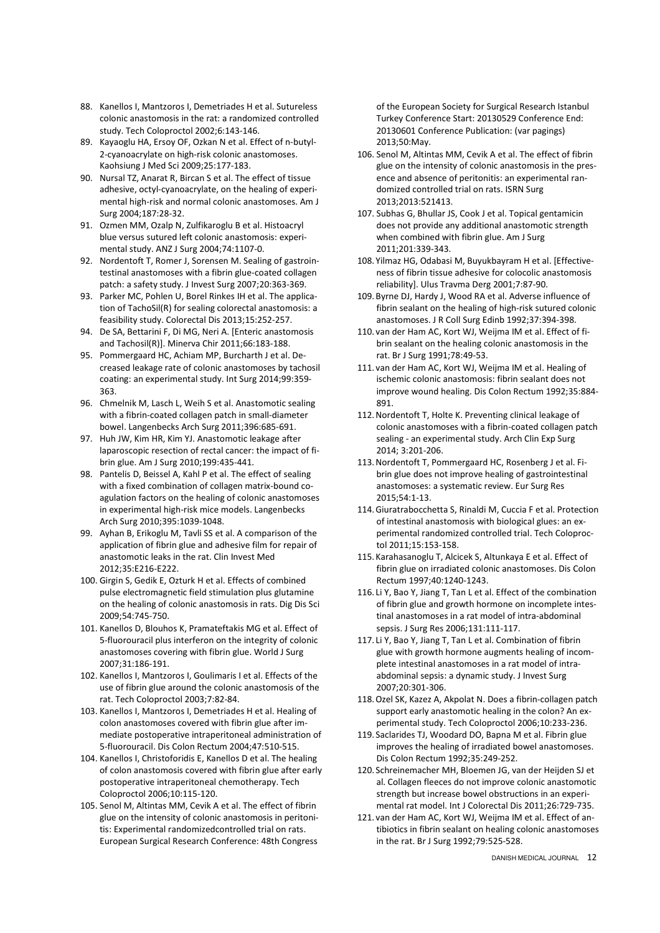- 88. Kanellos I, Mantzoros I, Demetriades H et al. Sutureless colonic anastomosis in the rat: a randomized controlled study. Tech Coloproctol 2002;6:143-146.
- 89. Kayaoglu HA, Ersoy OF, Ozkan N et al. Effect of n-butyl-2-cyanoacrylate on high-risk colonic anastomoses. Kaohsiung J Med Sci 2009;25:177-183.
- 90. Nursal TZ, Anarat R, Bircan S et al. The effect of tissue adhesive, octyl-cyanoacrylate, on the healing of experimental high-risk and normal colonic anastomoses. Am J Surg 2004;187:28-32.
- 91. Ozmen MM, Ozalp N, Zulfikaroglu B et al. Histoacryl blue versus sutured left colonic anastomosis: experimental study. ANZ J Surg 2004;74:1107-0.
- 92. Nordentoft T, Romer J, Sorensen M. Sealing of gastrointestinal anastomoses with a fibrin glue-coated collagen patch: a safety study. J Invest Surg 2007;20:363-369.
- 93. Parker MC, Pohlen U, Borel Rinkes IH et al. The application of TachoSil(R) for sealing colorectal anastomosis: a feasibility study. Colorectal Dis 2013;15:252-257.
- 94. De SA, Bettarini F, Di MG, Neri A. [Enteric anastomosis and Tachosil(R)]. Minerva Chir 2011;66:183-188.
- 95. Pommergaard HC, Achiam MP, Burcharth J et al. Decreased leakage rate of colonic anastomoses by tachosil coating: an experimental study. Int Surg 2014;99:359- 363.
- 96. Chmelnik M, Lasch L, Weih S et al. Anastomotic sealing with a fibrin-coated collagen patch in small-diameter bowel. Langenbecks Arch Surg 2011;396:685-691.
- 97. Huh JW, Kim HR, Kim YJ. Anastomotic leakage after laparoscopic resection of rectal cancer: the impact of fibrin glue. Am J Surg 2010;199:435-441.
- 98. Pantelis D, Beissel A, Kahl P et al. The effect of sealing with a fixed combination of collagen matrix-bound coagulation factors on the healing of colonic anastomoses in experimental high-risk mice models. Langenbecks Arch Surg 2010;395:1039-1048.
- 99. Ayhan B, Erikoglu M, Tavli SS et al. A comparison of the application of fibrin glue and adhesive film for repair of anastomotic leaks in the rat. Clin Invest Med 2012;35:E216-E222.
- 100. Girgin S, Gedik E, Ozturk H et al. Effects of combined pulse electromagnetic field stimulation plus glutamine on the healing of colonic anastomosis in rats. Dig Dis Sci 2009;54:745-750.
- 101. Kanellos D, Blouhos K, Pramateftakis MG et al. Effect of 5-fluorouracil plus interferon on the integrity of colonic anastomoses covering with fibrin glue. World J Surg 2007;31:186-191.
- 102. Kanellos I, Mantzoros I, Goulimaris I et al. Effects of the use of fibrin glue around the colonic anastomosis of the rat. Tech Coloproctol 2003;7:82-84.
- 103. Kanellos I, Mantzoros I, Demetriades H et al. Healing of colon anastomoses covered with fibrin glue after immediate postoperative intraperitoneal administration of 5-fluorouracil. Dis Colon Rectum 2004;47:510-515.
- 104. Kanellos I, Christoforidis E, Kanellos D et al. The healing of colon anastomosis covered with fibrin glue after early postoperative intraperitoneal chemotherapy. Tech Coloproctol 2006;10:115-120.
- 105. Senol M, Altintas MM, Cevik A et al. The effect of fibrin glue on the intensity of colonic anastomosis in peritonitis: Experimental randomizedcontrolled trial on rats. European Surgical Research Conference: 48th Congress

of the European Society for Surgical Research Istanbul Turkey Conference Start: 20130529 Conference End: 20130601 Conference Publication: (var pagings) 2013;50:May.

- 106. Senol M, Altintas MM, Cevik A et al. The effect of fibrin glue on the intensity of colonic anastomosis in the presence and absence of peritonitis: an experimental randomized controlled trial on rats. ISRN Surg 2013;2013:521413.
- 107. Subhas G, Bhullar JS, Cook J et al. Topical gentamicin does not provide any additional anastomotic strength when combined with fibrin glue. Am J Surg 2011;201:339-343.
- 108. Yilmaz HG, Odabasi M, Buyukbayram H et al. [Effectiveness of fibrin tissue adhesive for colocolic anastomosis reliability]. Ulus Travma Derg 2001;7:87-90.
- 109. Byrne DJ, Hardy J, Wood RA et al. Adverse influence of fibrin sealant on the healing of high-risk sutured colonic anastomoses. J R Coll Surg Edinb 1992;37:394-398.
- 110. van der Ham AC, Kort WJ, Weijma IM et al. Effect of fibrin sealant on the healing colonic anastomosis in the rat. Br J Surg 1991;78:49-53.
- 111. van der Ham AC, Kort WJ, Weijma IM et al. Healing of ischemic colonic anastomosis: fibrin sealant does not improve wound healing. Dis Colon Rectum 1992;35:884- 891.
- 112.Nordentoft T, Holte K. Preventing clinical leakage of colonic anastomoses with a fibrin-coated collagen patch sealing - an experimental study. Arch Clin Exp Surg 2014; 3:201-206.
- 113.Nordentoft T, Pommergaard HC, Rosenberg J et al. Fibrin glue does not improve healing of gastrointestinal anastomoses: a systematic review. Eur Surg Res 2015;54:1-13.
- 114.Giuratrabocchetta S, Rinaldi M, Cuccia F et al. Protection of intestinal anastomosis with biological glues: an experimental randomized controlled trial. Tech Coloproctol 2011;15:153-158.
- 115. Karahasanoglu T, Alcicek S, Altunkaya E et al. Effect of fibrin glue on irradiated colonic anastomoses. Dis Colon Rectum 1997;40:1240-1243.
- 116. Li Y, Bao Y, Jiang T, Tan L et al. Effect of the combination of fibrin glue and growth hormone on incomplete intestinal anastomoses in a rat model of intra-abdominal sepsis. J Surg Res 2006;131:111-117.
- 117. Li Y, Bao Y, Jiang T, Tan L et al. Combination of fibrin glue with growth hormone augments healing of incomplete intestinal anastomoses in a rat model of intraabdominal sepsis: a dynamic study. J Invest Surg 2007;20:301-306.
- 118.Ozel SK, Kazez A, Akpolat N. Does a fibrin-collagen patch support early anastomotic healing in the colon? An experimental study. Tech Coloproctol 2006;10:233-236.
- 119. Saclarides TJ, Woodard DO, Bapna M et al. Fibrin glue improves the healing of irradiated bowel anastomoses. Dis Colon Rectum 1992;35:249-252.
- 120. Schreinemacher MH, Bloemen JG, van der Heijden SJ et al. Collagen fleeces do not improve colonic anastomotic strength but increase bowel obstructions in an experimental rat model. Int J Colorectal Dis 2011;26:729-735.
- 121. van der Ham AC, Kort WJ, Weijma IM et al. Effect of antibiotics in fibrin sealant on healing colonic anastomoses in the rat. Br J Surg 1992;79:525-528.